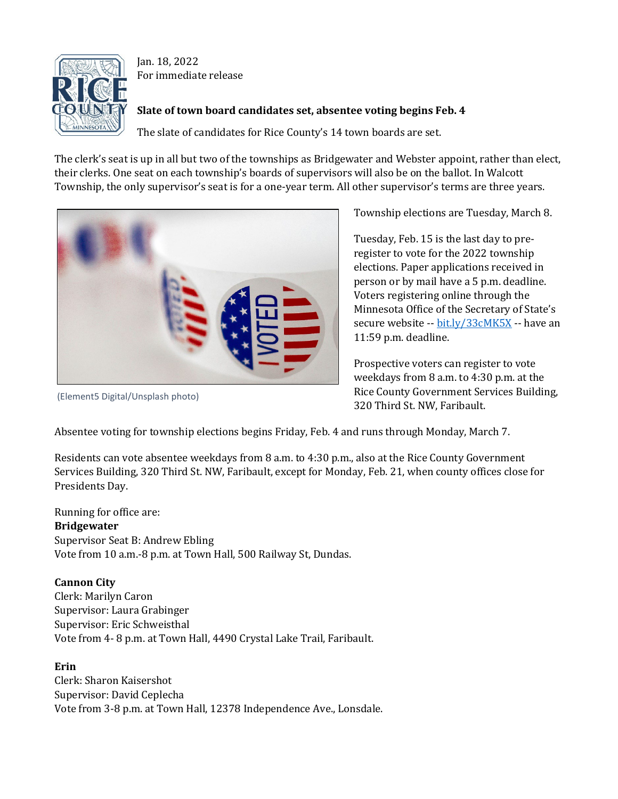

Jan. 18, 2022 For immediate release

## **Slate of town board candidates set, absentee voting begins Feb. 4**

The slate of candidates for Rice County's 14 town boards are set.

The clerk's seat is up in all but two of the townships as Bridgewater and Webster appoint, rather than elect, their clerks. One seat on each township's boards of supervisors will also be on the ballot. In Walcott Township, the only supervisor's seat is for a one-year term. All other supervisor's terms are three years.



(Element5 Digital/Unsplash photo)

Township elections are Tuesday, March 8.

Tuesday, Feb. 15 is the last day to preregister to vote for the 2022 township elections. Paper applications received in person or by mail have a 5 p.m. deadline. Voters registering online through the Minnesota Office of the Secretary of State's secure website -- [bit.ly/33cMK5X](https://bit.ly/33cMK5X) -- have an 11:59 p.m. deadline.

Prospective voters can register to vote weekdays from 8 a.m. to 4:30 p.m. at the Rice County Government Services Building, 320 Third St. NW, Faribault.

Absentee voting for township elections begins Friday, Feb. 4 and runs through Monday, March 7.

Residents can vote absentee weekdays from 8 a.m. to 4:30 p.m., also at the Rice County Government Services Building, 320 Third St. NW, Faribault, except for Monday, Feb. 21, when county offices close for Presidents Day.

Running for office are: **Bridgewater** Supervisor Seat B: Andrew Ebling Vote from 10 a.m.-8 p.m. at Town Hall, 500 Railway St, Dundas.

# **Cannon City**

Clerk: Marilyn Caron Supervisor: Laura Grabinger Supervisor: Eric Schweisthal Vote from 4- 8 p.m. at Town Hall, 4490 Crystal Lake Trail, Faribault.

# **Erin**

Clerk: Sharon Kaisershot Supervisor: David Ceplecha Vote from 3-8 p.m. at Town Hall, 12378 Independence Ave., Lonsdale.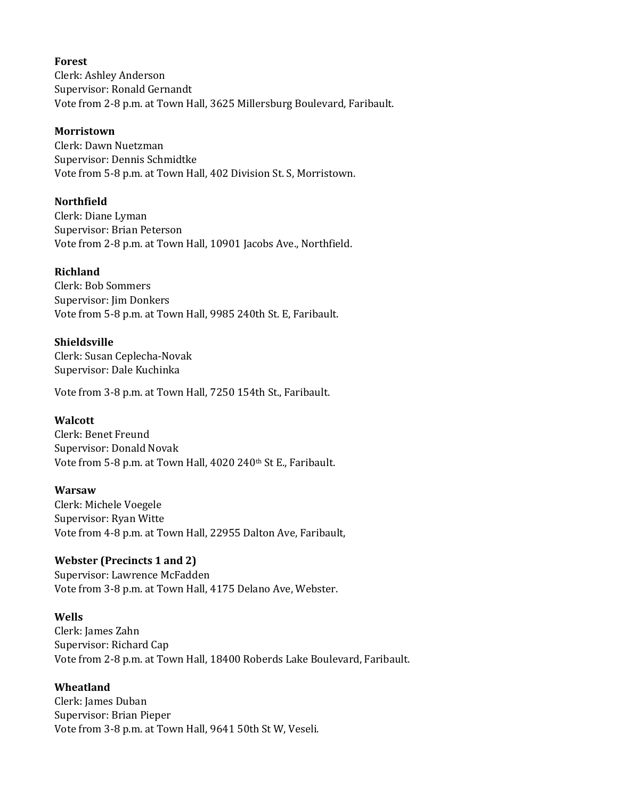#### **Forest**

Clerk: Ashley Anderson Supervisor: Ronald Gernandt Vote from 2-8 p.m. at Town Hall, 3625 Millersburg Boulevard, Faribault.

#### **Morristown**

Clerk: Dawn Nuetzman Supervisor: Dennis Schmidtke Vote from 5-8 p.m. at Town Hall, 402 Division St. S, Morristown.

### **Northfield**

Clerk: Diane Lyman Supervisor: Brian Peterson Vote from 2-8 p.m. at Town Hall, 10901 Jacobs Ave., Northfield.

### **Richland**

Clerk: Bob Sommers Supervisor: Jim Donkers Vote from 5-8 p.m. at Town Hall, 9985 240th St. E, Faribault.

### **Shieldsville**

Clerk: Susan Ceplecha-Novak Supervisor: Dale Kuchinka

Vote from 3-8 p.m. at Town Hall, 7250 154th St., Faribault.

### **Walcott**

Clerk: Benet Freund Supervisor: Donald Novak Vote from 5-8 p.m. at Town Hall, 4020 240th St E., Faribault.

### **Warsaw**

Clerk: Michele Voegele Supervisor: Ryan Witte Vote from 4-8 p.m. at Town Hall, 22955 Dalton Ave, Faribault,

### **Webster (Precincts 1 and 2)**

Supervisor: Lawrence McFadden Vote from 3-8 p.m. at Town Hall, 4175 Delano Ave, Webster.

### **Wells**

Clerk: James Zahn Supervisor: Richard Cap Vote from 2-8 p.m. at Town Hall, 18400 Roberds Lake Boulevard, Faribault.

### **Wheatland**

Clerk: James Duban Supervisor: Brian Pieper Vote from 3-8 p.m. at Town Hall, 9641 50th St W, Veseli.